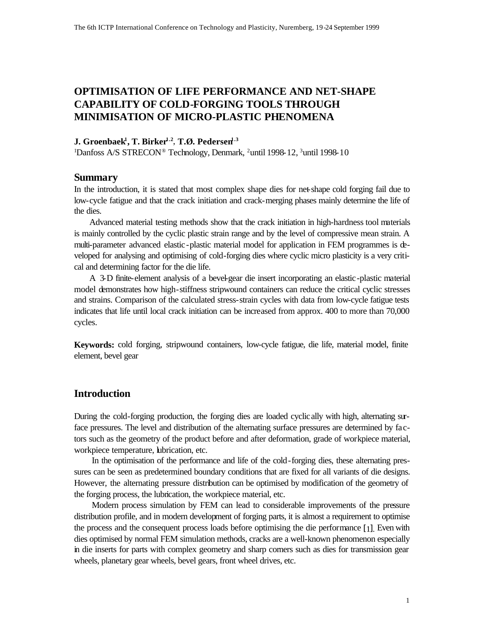# **OPTIMISATION OF LIFE PERFORMANCE AND NET-SHAPE CAPABILITY OF COLD-FORGING TOOLS THROUGH MINIMISATION OF MICRO-PLASTIC PHENOMENA**

# **J. Groenbaek<sup>1</sup> , T. Birker1.2** , **T.Ø. Pedersen1.3**

<sup>1</sup>Danfoss A/S STRECON® Technology, Denmark, <sup>2</sup>until 1998-12, <sup>3</sup>until 1998-10

# **Summary**

In the introduction, it is stated that most complex shape dies for net-shape cold forging fail due to low-cycle fatigue and that the crack initiation and crack-merging phases mainly determine the life of the dies.

Advanced material testing methods show that the crack initiation in high-hardness tool materials is mainly controlled by the cyclic plastic strain range and by the level of compressive mean strain. A multi-parameter advanced elastic-plastic material model for application in FEM programmes is developed for analysing and optimising of cold-forging dies where cyclic micro plasticity is a very critical and determining factor for the die life.

A 3-D finite-element analysis of a bevel-gear die insert incorporating an elastic-plastic material model demonstrates how high-stiffness stripwound containers can reduce the critical cyclic stresses and strains. Comparison of the calculated stress-strain cycles with data from low-cycle fatigue tests indicates that life until local crack initiation can be increased from approx. 400 to more than 70,000 cycles.

**Keywords:** cold forging, stripwound containers, low-cycle fatigue, die life, material model, finite element, bevel gear

### **Introduction**

During the cold-forging production, the forging dies are loaded cyclically with high, alternating surface pressures. The level and distribution of the alternating surface pressures are determined by factors such as the geometry of the product before and after deformation, grade of workpiece material, workpiece temperature, lubrication, etc.

In the optimisation of the performance and life of the cold-forging dies, these alternating pressures can be seen as predetermined boundary conditions that are fixed for all variants of die designs. However, the alternating pressure distribution can be optimised by modification of the geometry of the forging process, the lubrication, the workpiece material, etc.

Modern process simulation by FEM can lead to considerable improvements of the pressure distribution profile, and in modern development of forging parts, it is almost a requirement to optimise the process and the consequent process loads before optimising the die performance [1]. Even with dies optimised by normal FEM simulation methods, cracks are a well-known phenomenon especially in die inserts for parts with complex geometry and sharp corners such as dies for transmission gear wheels, planetary gear wheels, bevel gears, front wheel drives, etc.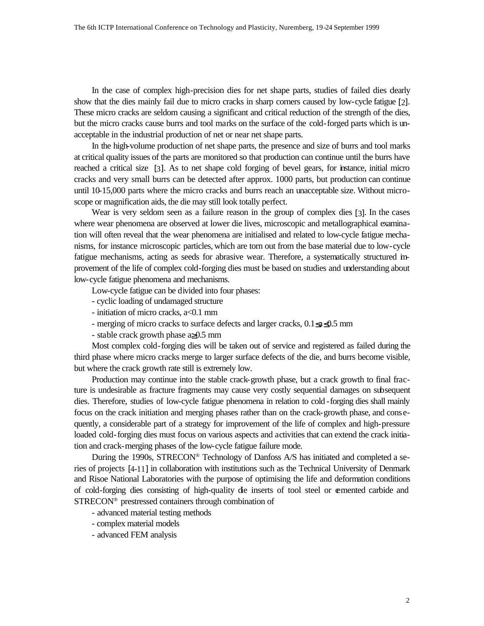In the case of complex high-precision dies for net shape parts, studies of failed dies dearly show that the dies mainly fail due to micro cracks in sharp corners caused by low-cycle fatigue [2]. These micro cracks are seldom causing a significant and critical reduction of the strength of the dies, but the micro cracks cause burrs and tool marks on the surface of the cold-forged parts which is unacceptable in the industrial production of net or near net shape parts.

In the high-volume production of net shape parts, the presence and size of burrs and tool marks at critical quality issues of the parts are monitored so that production can continue until the burrs have reached a critical size [3]. As to net shape cold forging of bevel gears, for instance, initial micro cracks and very small burrs can be detected after approx. 1000 parts, but production can continue until 10-15,000 parts where the micro cracks and burrs reach an unacceptable size. Without microscope or magnification aids, the die may still look totally perfect.

Wear is very seldom seen as a failure reason in the group of complex dies [3]. In the cases where wear phenomena are observed at lower die lives, microscopic and metallographical examination will often reveal that the wear phenomena are initialised and related to low-cycle fatigue mechanisms, for instance microscopic particles, which are torn out from the base material due to low-cycle fatigue mechanisms, acting as seeds for abrasive wear. Therefore, a systematically structured improvement of the life of complex cold-forging dies must be based on studies and understanding about low-cycle fatigue phenomena and mechanisms.

Low-cycle fatigue can be divided into four phases:

- cyclic loading of undamaged structure
- initiation of micro cracks, a<0.1 mm
- merging of micro cracks to surface defects and larger cracks, 0.1≤a≤0.5 mm
- stable crack growth phase a≥0.5 mm

Most complex cold-forging dies will be taken out of service and registered as failed during the third phase where micro cracks merge to larger surface defects of the die, and burrs become visible, but where the crack growth rate still is extremely low.

Production may continue into the stable crack-growth phase, but a crack growth to final fracture is undesirable as fracture fragments may cause very costly sequential damages on subsequent dies. Therefore, studies of low-cycle fatigue phenomena in relation to cold -forging dies shall mainly focus on the crack initiation and merging phases rather than on the crack-growth phase, and consequently, a considerable part of a strategy for improvement of the life of complex and high-pressure loaded cold-forging dies must focus on various aspects and activities that can extend the crack initiation and crack-merging phases of the low-cycle fatigue failure mode.

During the 1990s, STRECON® Technology of Danfoss A/S has initiated and completed a series of projects [4-11] in collaboration with institutions such as the Technical University of Denmark and Risoe National Laboratories with the purpose of optimising the life and deformation conditions of cold-forging dies consisting of high-quality die inserts of tool steel or cemented carbide and STRECON® prestressed containers through combination of

- advanced material testing methods
- complex material models
- advanced FEM analysis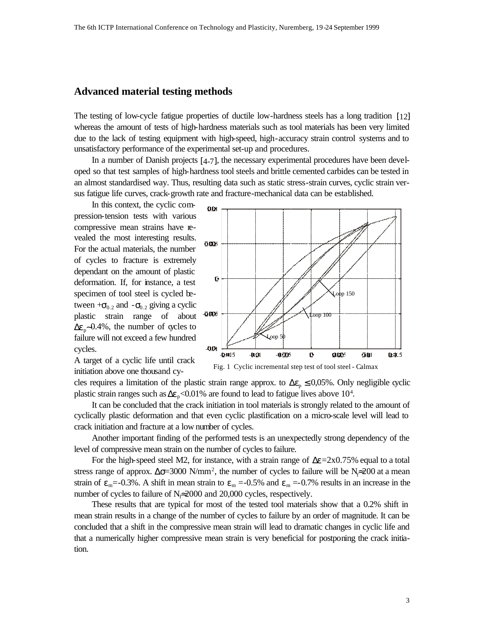# **Advanced material testing methods**

The testing of low-cycle fatigue properties of ductile low-hardness steels has a long tradition [12] whereas the amount of tests of high-hardness materials such as tool materials has been very limited due to the lack of testing equipment with high-speed, high-accuracy strain control systems and to unsatisfactory performance of the experimental set-up and procedures.

In a number of Danish projects [4-7], the necessary experimental procedures have been developed so that test samples of high-hardness tool steels and brittle cemented carbides can be tested in an almost standardised way. Thus, resulting data such as static stress-strain curves, cyclic strain versus fatigue life curves, crack-growth rate and fracture-mechanical data can be established.

In this context, the cyclic compression-tension tests with various compressive mean strains have revealed the most interesting results. For the actual materials, the number of cycles to fracture is extremely dependant on the amount of plastic deformation. If, for instance, a test specimen of tool steel is cycled between  $+\sigma_{0,2}$  and  $-\sigma_{0,2}$  giving a cyclic plastic strain range of about  $\Delta \varepsilon_p$ ∼0.4%, the number of cycles to failure will not exceed a few hundred cycles.



A target of a cyclic life until crack initiation above one thousand cy-

Fig. 1 Cyclic incremental step test of tool steel - Calmax

cles requires a limitation of the plastic strain range approx. to  $\Delta \varepsilon_p \leq 0.05\%$ . Only negligible cyclic plastic strain ranges such as  $\Delta \varepsilon_p < 0.01\%$  are found to lead to fatigue lives above 10<sup>4</sup>.

It can be concluded that the crack initiation in tool materials is strongly related to the amount of cyclically plastic deformation and that even cyclic plastification on a micro-scale level will lead to crack initiation and fracture at a low number of cycles.

Another important finding of the performed tests is an unexpectedly strong dependency of the level of compressive mean strain on the number of cycles to failure.

For the high-speed steel M2, for instance, with a strain range of  $\Delta \epsilon = 2 \times 0.75\%$  equal to a total stress range of approx.  $\Delta \sigma = 3000 \text{ N/mm}^2$ , the number of cycles to failure will be N $\approx 200$  at a mean strain of  $\varepsilon_m$ =-0.3%. A shift in mean strain to  $\varepsilon_m$  =-0.5% and  $\varepsilon_m$  =-0.7% results in an increase in the number of cycles to failure of  $N_f \approx 2000$  and 20,000 cycles, respectively.

These results that are typical for most of the tested tool materials show that a 0.2% shift in mean strain results in a change of the number of cycles to failure by an order of magnitude. It can be concluded that a shift in the compressive mean strain will lead to dramatic changes in cyclic life and that a numerically higher compressive mean strain is very beneficial for postponing the crack initiation.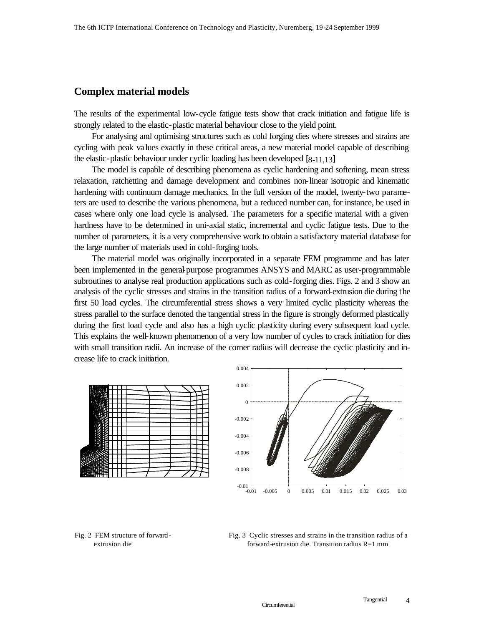# **Complex material models**

The results of the experimental low-cycle fatigue tests show that crack initiation and fatigue life is strongly related to the elastic-plastic material behaviour close to the yield point.

For analysing and optimising structures such as cold forging dies where stresses and strains are cycling with peak values exactly in these critical areas, a new material model capable of describing the elastic-plastic behaviour under cyclic loading has been developed [8-11,13]

The model is capable of describing phenomena as cyclic hardening and softening, mean stress relaxation, ratchetting and damage development and combines non-linear isotropic and kinematic hardening with continuum damage mechanics. In the full version of the model, twenty-two parameters are used to describe the various phenomena, but a reduced number can, for instance, be used in cases where only one load cycle is analysed. The parameters for a specific material with a given hardness have to be determined in uni-axial static, incremental and cyclic fatigue tests. Due to the number of parameters, it is a very comprehensive work to obtain a satisfactory material database for the large number of materials used in cold-forging tools.

The material model was originally incorporated in a separate FEM programme and has later been implemented in the general-purpose programmes ANSYS and MARC as user-programmable subroutines to analyse real production applications such as cold-forging dies. Figs. 2 and 3 show an analysis of the cyclic stresses and strains in the transition radius of a forward-extrusion die during the first 50 load cycles. The circumferential stress shows a very limited cyclic plasticity whereas the stress parallel to the surface denoted the tangential stress in the figure is strongly deformed plastically during the first load cycle and also has a high cyclic plasticity during every subsequent load cycle. This explains the well-known phenomenon of a very low number of cycles to crack initiation for dies with small transition radii. An increase of the corner radius will decrease the cyclic plasticity and increase life to crack initiation.





#### Fig. 2 FEM structure of forward extrusion die

Fig. 3 Cyclic stresses and strains in the transition radius of a forward-extrusion die. Transition radius R=1 mm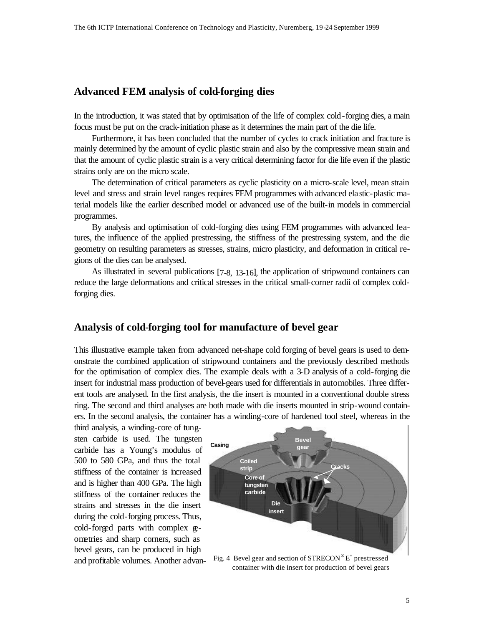# **Advanced FEM analysis of cold-forging dies**

In the introduction, it was stated that by optimisation of the life of complex cold-forging dies, a main focus must be put on the crack-initiation phase as it determines the main part of the die life.

Furthermore, it has been concluded that the number of cycles to crack initiation and fracture is mainly determined by the amount of cyclic plastic strain and also by the compressive mean strain and that the amount of cyclic plastic strain is a very critical determining factor for die life even if the plastic strains only are on the micro scale.

The determination of critical parameters as cyclic plasticity on a micro-scale level, mean strain level and stress and strain level ranges requires FEM programmes with advanced elastic-plastic material models like the earlier described model or advanced use of the built-in models in commercial programmes.

By analysis and optimisation of cold-forging dies using FEM programmes with advanced features, the influence of the applied prestressing, the stiffness of the prestressing system, and the die geometry on resulting parameters as stresses, strains, micro plasticity, and deformation in critical regions of the dies can be analysed.

As illustrated in several publications [7-8, 13-16], the application of stripwound containers can reduce the large deformations and critical stresses in the critical small-corner radii of complex coldforging dies.

# **Analysis of cold-forging tool for manufacture of bevel gear**

This illustrative example taken from advanced net-shape cold forging of bevel gears is used to demonstrate the combined application of stripwound containers and the previously described methods for the optimisation of complex dies. The example deals with a 3-D analysis of a cold-forging die insert for industrial mass production of bevel-gears used for differentials in automobiles. Three different tools are analysed. In the first analysis, the die insert is mounted in a conventional double stress ring. The second and third analyses are both made with die inserts mounted in strip-wound containers. In the second analysis, the container has a winding-core of hardened tool steel, whereas in the

third analysis, a winding-core of tungsten carbide is used. The tungsten carbide has a Young's modulus of 500 to 580 GPa, and thus the total stiffness of the container is increased and is higher than 400 GPa. The high stiffness of the container reduces the strains and stresses in the die insert during the cold-forging process. Thus, cold-forged parts with complex geometries and sharp corners, such as bevel gears, can be produced in high



and profitable volumes. Another advan- Fig. 4 Bevel gear and section of  $STRECON^{\circ}E^{+}$  prestressed container with die insert for production of bevel gears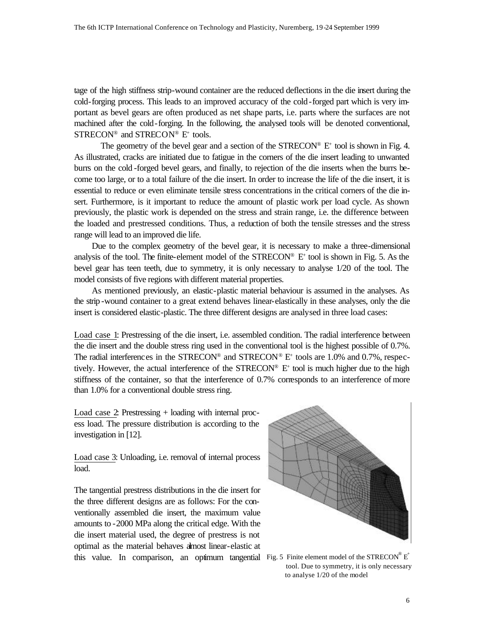tage of the high stiffness strip-wound container are the reduced deflections in the die insert during the cold-forging process. This leads to an improved accuracy of the cold-forged part which is very important as bevel gears are often produced as net shape parts, i.e. parts where the surfaces are not machined after the cold-forging. In the following, the analysed tools will be denoted conventional,  $STRECON^{\circledast}$  and  $STRECON^{\circledast}$  E<sup>+</sup> tools.

The geometry of the bevel gear and a section of the  $STRECON^{\circledcirc}$   $E^+$  tool is shown in Fig. 4. As illustrated, cracks are initiated due to fatigue in the corners of the die insert leading to unwanted burrs on the cold -forged bevel gears, and finally, to rejection of the die inserts when the burrs become too large, or to a total failure of the die insert. In order to increase the life of the die insert, it is essential to reduce or even eliminate tensile stress concentrations in the critical corners of the die insert. Furthermore, is it important to reduce the amount of plastic work per load cycle. As shown previously, the plastic work is depended on the stress and strain range, i.e. the difference between the loaded and prestressed conditions. Thus, a reduction of both the tensile stresses and the stress range will lead to an improved die life.

Due to the complex geometry of the bevel gear, it is necessary to make a three-dimensional analysis of the tool. The finite-element model of the  $STRECON^{\circledcirc}$  E<sup>+</sup> tool is shown in Fig. 5. As the bevel gear has teen teeth, due to symmetry, it is only necessary to analyse 1/20 of the tool. The model consists of five regions with different material properties.

As mentioned previously, an elastic-plastic material behaviour is assumed in the analyses. As the strip -wound container to a great extend behaves linear-elastically in these analyses, only the die insert is considered elastic-plastic. The three different designs are analysed in three load cases:

Load case 1: Prestressing of the die insert, i.e. assembled condition. The radial interference between the die insert and the double stress ring used in the conventional tool is the highest possible of 0.7%. The radial interferences in the STRECON® and STRECON® E<sup>+</sup> tools are 1.0% and 0.7%, respectively. However, the actual interference of the  $STRECON^{\circledast} E^{+}$  tool is much higher due to the high stiffness of the container, so that the interference of 0.7% corresponds to an interference of more than 1.0% for a conventional double stress ring.

Load case 2: Prestressing + loading with internal process load. The pressure distribution is according to the investigation in [12].

Load case 3: Unloading, i.e. removal of internal process load.

The tangential prestress distributions in the die insert for the three different designs are as follows: For the conventionally assembled die insert, the maximum value amounts to -2000 MPa along the critical edge. With the die insert material used, the degree of prestress is not optimal as the material behaves almost linear-elastic at this value. In comparison, an optimum tangential Fig. 5 Finite element model of the STRECON® E<sup>+</sup>



 tool. Due to symmetry, it is only necessary to analyse 1/20 of the model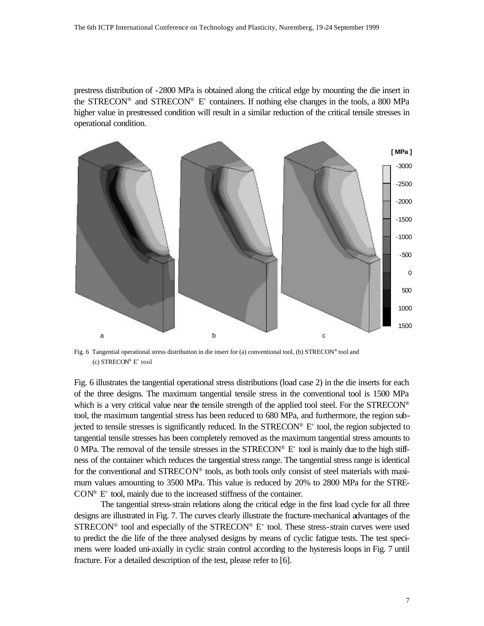prestress distribution of -2800 MPa is obtained along the critical edge by mounting the die insert in the STRECON<sup>®</sup> and STRECON<sup>®</sup> E<sup>+</sup> containers. If nothing else changes in the tools, a 800 MPa higher value in prestressed condition will result in a similar reduction of the critical tensile stresses in operational condition.



Fig. 6 Tangential operational stress distribution in die insert for (a) conventional tool, (b) STRECON® tool and (c)  $STRECON^{\circledast}$  E<sup>+</sup> tool

Fig. 6 illustrates the tangential operational stress distributions (load case 2) in the die inserts for each of the three designs. The maximum tangential tensile stress in the conventional tool is 1500 MPa which is a very critical value near the tensile strength of the applied tool steel. For the  $STRECON^{\circledcirc}$ tool, the maximum tangential stress has been reduced to 680 MPa, and furthermore, the region subjected to tensile stresses is significantly reduced. In the STRECON® E<sup>+</sup> tool, the region subjected to tangential tensile stresses has been completely removed as the maximum tangential stress amounts to 0 MPa. The removal of the tensile stresses in the  $STRECON^{\circ}E^{+}$  tool is mainly due to the high stiffness of the container which reduces the tangential stress range. The tangential stress range is identical for the conventional and STRECON® tools, as both tools only consist of steel materials with maximum values amounting to 3500 MPa. This value is reduced by 20% to 2800 MPa for the STRE- $CON^{\circ}$   $E^{+}$  tool, mainly due to the increased stiffness of the container.

The tangential stress-strain relations along the critical edge in the first load cycle for all three designs are illustrated in Fig. 7. The curves clearly illustrate the fracture-mechanical advantages of the  $STRECON<sup>®</sup>$  tool and especially of the  $STRECON<sup>®</sup> E<sup>+</sup>$  tool. These stress-strain curves were used to predict the die life of the three analysed designs by means of cyclic fatigue tests. The test specimens were loaded uni-axially in cyclic strain control according to the hysteresis loops in Fig. 7 until fracture. For a detailed description of the test, please refer to [6].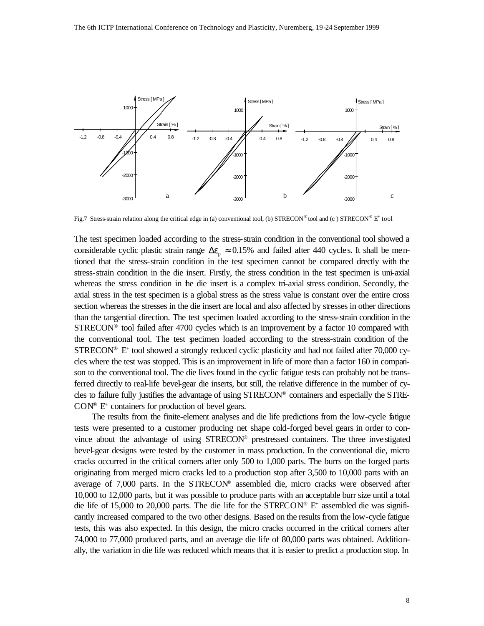

Fig.7 Stress-strain relation along the critical edge in (a) conventional tool, (b) STRECON® tool and (c) STRECON® E<sup>+</sup> tool

The test specimen loaded according to the stress-strain condition in the conventional tool showed a considerable cyclic plastic strain range  $\Delta \varepsilon_p \approx 0.15\%$  and failed after 440 cycles. It shall be mentioned that the stress-strain condition in the test specimen cannot be compared directly with the stress-strain condition in the die insert. Firstly, the stress condition in the test specimen is uni-axial whereas the stress condition in the die insert is a complex tri-axial stress condition. Secondly, the axial stress in the test specimen is a global stress as the stress value is constant over the entire cross section whereas the stresses in the die insert are local and also affected by stresses in other directions than the tangential direction. The test specimen loaded according to the stress-strain condition in the STRECON® tool failed after 4700 cycles which is an improvement by a factor 10 compared with the conventional tool. The test specimen loaded according to the stress-strain condition of the STRECON® E<sup>+</sup> tool showed a strongly reduced cyclic plasticity and had not failed after 70,000 cycles where the test was stopped. This is an improvement in life of more than a factor 160 in comparison to the conventional tool. The die lives found in the cyclic fatigue tests can probably not be transferred directly to real-life bevel-gear die inserts, but still, the relative difference in the number of cycles to failure fully justifies the advantage of using STRECON® containers and especially the STRE- $CON^{\circ}$  E<sup>+</sup> containers for production of bevel gears.

The results from the finite-element analyses and die life predictions from the low-cycle fatigue tests were presented to a customer producing net shape cold-forged bevel gears in order to convince about the advantage of using STRECON® prestressed containers. The three investigated bevel-gear designs were tested by the customer in mass production. In the conventional die, micro cracks occurred in the critical corners after only 500 to 1,000 parts. The burrs on the forged parts originating from merged micro cracks led to a production stop after 3,500 to 10,000 parts with an average of  $7,000$  parts. In the STRECON® assembled die, micro cracks were observed after 10,000 to 12,000 parts, but it was possible to produce parts with an acceptable burr size until a total die life of 15,000 to 20,000 parts. The die life for the STRECON®  $E^+$  assembled die was significantly increased compared to the two other designs. Based on the results from the low-cycle fatigue tests, this was also expected. In this design, the micro cracks occurred in the critical corners after 74,000 to 77,000 produced parts, and an average die life of 80,000 parts was obtained. Additionally, the variation in die life was reduced which means that it is easier to predict a production stop. In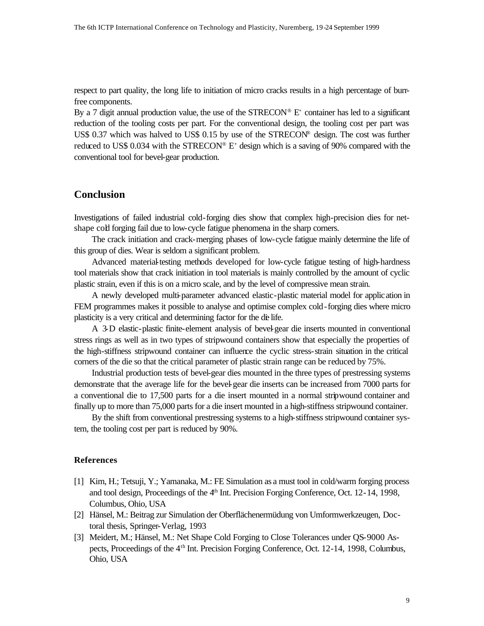respect to part quality, the long life to initiation of micro cracks results in a high percentage of burrfree components.

By a 7 digit annual production value, the use of the  $STRECON^{\circledast}E^{+}$  container has led to a significant reduction of the tooling costs per part. For the conventional design, the tooling cost per part was US\$ 0.37 which was halved to US\$ 0.15 by use of the STRECON® design. The cost was further reduced to US\$ 0.034 with the STRECON®  $E^+$  design which is a saving of 90% compared with the conventional tool for bevel-gear production.

# **Conclusion**

Investigations of failed industrial cold-forging dies show that complex high-precision dies for netshape cold forging fail due to low-cycle fatigue phenomena in the sharp corners.

The crack initiation and crack-merging phases of low-cycle fatigue mainly determine the life of this group of dies. Wear is seldom a significant problem.

Advanced material-testing methods developed for low-cycle fatigue testing of high-hardness tool materials show that crack initiation in tool materials is mainly controlled by the amount of cyclic plastic strain, even if this is on a micro scale, and by the level of compressive mean strain.

A newly developed multi-parameter advanced elastic-plastic material model for application in FEM programmes makes it possible to analyse and optimise complex cold-forging dies where micro plasticity is a very critical and determining factor for the de life.

A 3-D elastic-plastic finite-element analysis of bevel-gear die inserts mounted in conventional stress rings as well as in two types of stripwound containers show that especially the properties of the high-stiffness stripwound container can influence the cyclic stress-strain situation in the critical corners of the die so that the critical parameter of plastic strain range can be reduced by 75%.

Industrial production tests of bevel-gear dies mounted in the three types of prestressing systems demonstrate that the average life for the bevel-gear die inserts can be increased from 7000 parts for a conventional die to 17,500 parts for a die insert mounted in a normal stripwound container and finally up to more than 75,000 parts for a die insert mounted in a high-stiffness stripwound container.

By the shift from conventional prestressing systems to a high-stiffness stripwound container system, the tooling cost per part is reduced by 90%.

### **References**

- [1] Kim, H.; Tetsuji, Y.; Yamanaka, M.: FE Simulation as a must tool in cold/warm forging process and tool design, Proceedings of the 4th Int. Precision Forging Conference, Oct. 12-14, 1998, Columbus, Ohio, USA
- [2] Hänsel, M.: Beitrag zur Simulation der Oberflächenermüdung von Umformwerkzeugen, Doctoral thesis, Springer-Verlag, 1993
- [3] Meidert, M.; Hänsel, M.: Net Shape Cold Forging to Close Tolerances under QS-9000 Aspects, Proceedings of the 4th Int. Precision Forging Conference, Oct. 12-14, 1998, Columbus, Ohio, USA